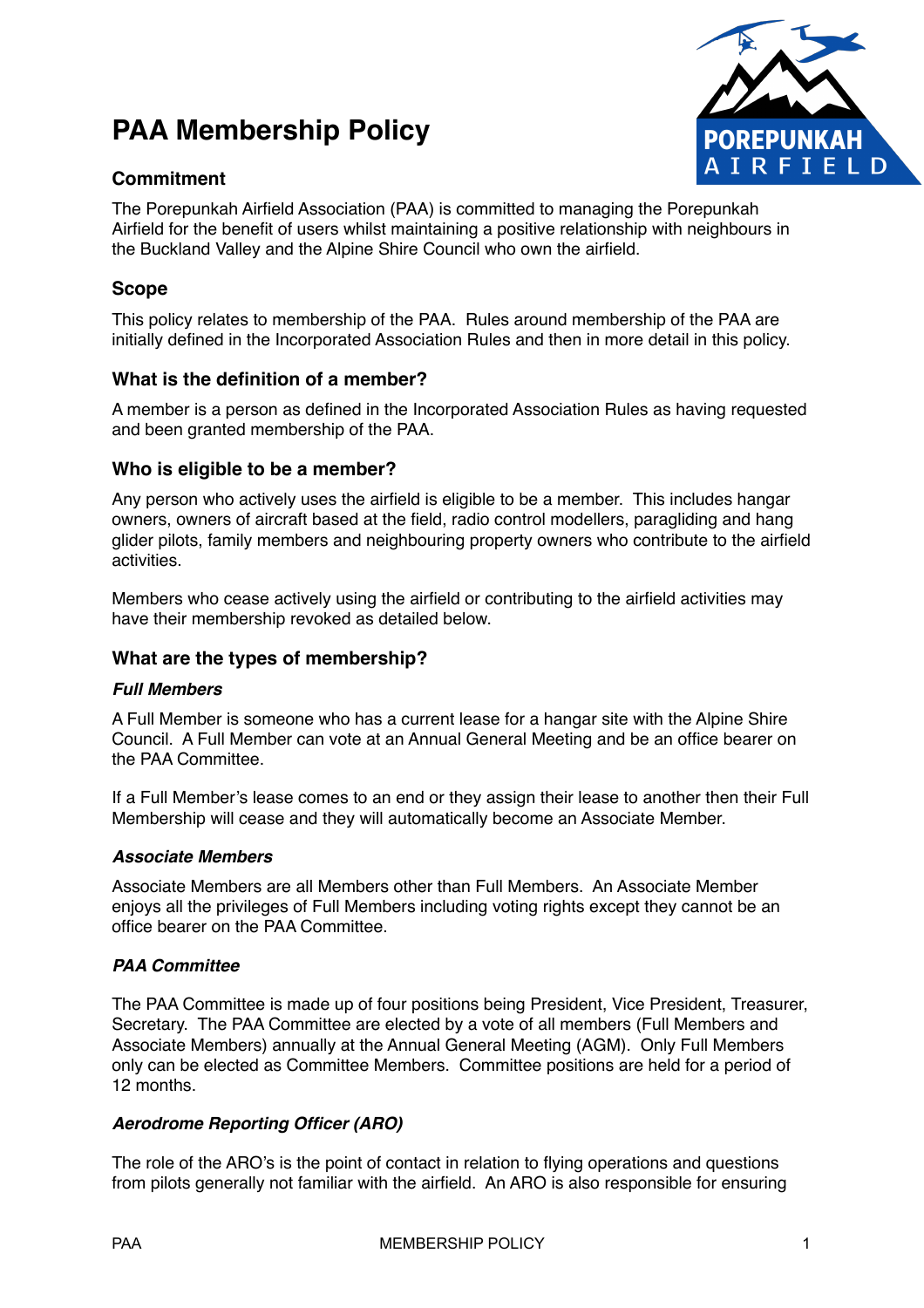# **PAA Membership Policy**





The Porepunkah Airfield Association (PAA) is committed to managing the Porepunkah Airfield for the benefit of users whilst maintaining a positive relationship with neighbours in the Buckland Valley and the Alpine Shire Council who own the airfield.

## **Scope**

This policy relates to membership of the PAA. Rules around membership of the PAA are initially defined in the Incorporated Association Rules and then in more detail in this policy.

## **What is the definition of a member?**

A member is a person as defined in the Incorporated Association Rules as having requested and been granted membership of the PAA.

## **Who is eligible to be a member?**

Any person who actively uses the airfield is eligible to be a member. This includes hangar owners, owners of aircraft based at the field, radio control modellers, paragliding and hang glider pilots, family members and neighbouring property owners who contribute to the airfield activities.

Members who cease actively using the airfield or contributing to the airfield activities may have their membership revoked as detailed below.

## **What are the types of membership?**

## *Full Members*

A Full Member is someone who has a current lease for a hangar site with the Alpine Shire Council. A Full Member can vote at an Annual General Meeting and be an office bearer on the PAA Committee.

If a Full Member's lease comes to an end or they assign their lease to another then their Full Membership will cease and they will automatically become an Associate Member.

## *Associate Members*

Associate Members are all Members other than Full Members. An Associate Member enjoys all the privileges of Full Members including voting rights except they cannot be an office bearer on the PAA Committee.

## *PAA Committee*

The PAA Committee is made up of four positions being President, Vice President, Treasurer, Secretary. The PAA Committee are elected by a vote of all members (Full Members and Associate Members) annually at the Annual General Meeting (AGM). Only Full Members only can be elected as Committee Members. Committee positions are held for a period of 12 months.

## *Aerodrome Reporting Officer (ARO)*

The role of the ARO's is the point of contact in relation to flying operations and questions from pilots generally not familiar with the airfield. An ARO is also responsible for ensuring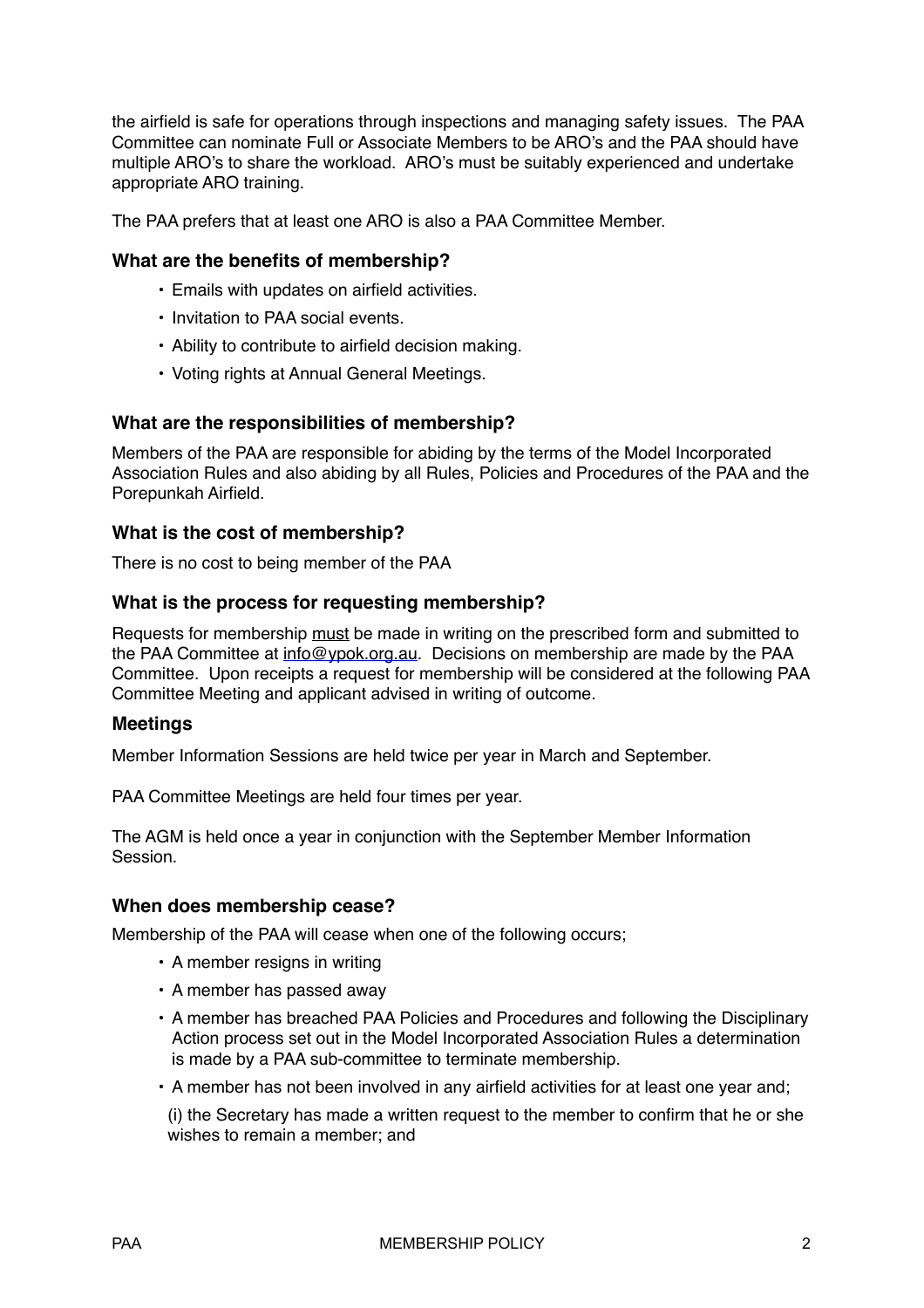the airfield is safe for operations through inspections and managing safety issues. The PAA Committee can nominate Full or Associate Members to be ARO's and the PAA should have multiple ARO's to share the workload. ARO's must be suitably experienced and undertake appropriate ARO training.

The PAA prefers that at least one ARO is also a PAA Committee Member.

## **What are the benefits of membership?**

- Emails with updates on airfield activities.
- Invitation to PAA social events.
- Ability to contribute to airfield decision making.
- Voting rights at Annual General Meetings.

#### **What are the responsibilities of membership?**

Members of the PAA are responsible for abiding by the terms of the Model Incorporated Association Rules and also abiding by all Rules, Policies and Procedures of the PAA and the Porepunkah Airfield.

## **What is the cost of membership?**

There is no cost to being member of the PAA

## **What is the process for requesting membership?**

Requests for membership must be made in writing on the prescribed form and submitted to the PAA Committee at [info@ypok.org.au.](mailto:info@ypok.org.au) Decisions on membership are made by the PAA Committee. Upon receipts a request for membership will be considered at the following PAA Committee Meeting and applicant advised in writing of outcome.

#### **Meetings**

Member Information Sessions are held twice per year in March and September.

PAA Committee Meetings are held four times per year.

The AGM is held once a year in conjunction with the September Member Information Session.

#### **When does membership cease?**

Membership of the PAA will cease when one of the following occurs;

- A member resigns in writing
- A member has passed away
- A member has breached PAA Policies and Procedures and following the Disciplinary Action process set out in the Model Incorporated Association Rules a determination is made by a PAA sub-committee to terminate membership.
- A member has not been involved in any airfield activities for at least one year and;

(i) the Secretary has made a written request to the member to confirm that he or she wishes to remain a member; and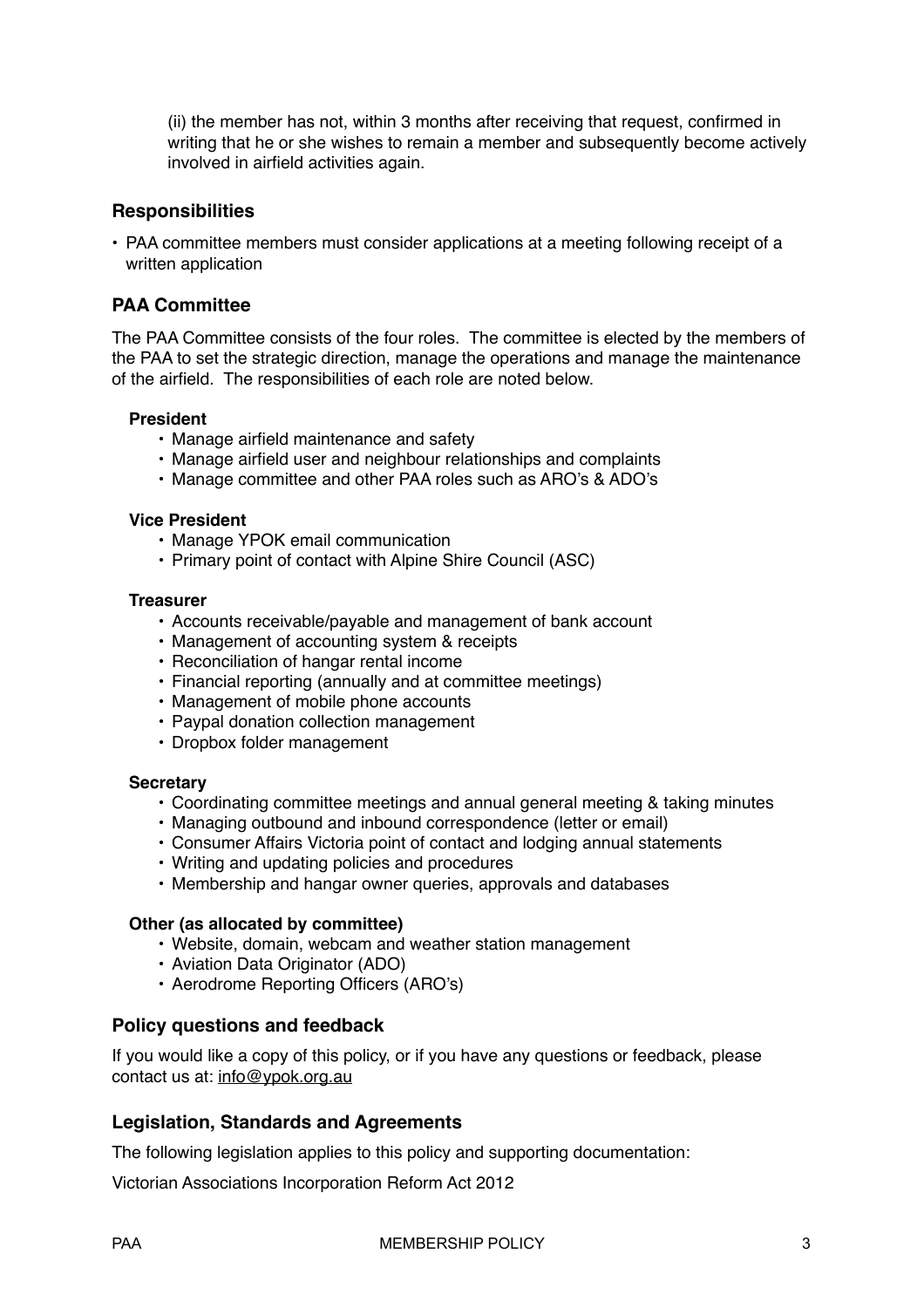(ii) the member has not, within 3 months after receiving that request, confirmed in writing that he or she wishes to remain a member and subsequently become actively involved in airfield activities again.

## **Responsibilities**

• PAA committee members must consider applications at a meeting following receipt of a written application

## **PAA Committee**

The PAA Committee consists of the four roles. The committee is elected by the members of the PAA to set the strategic direction, manage the operations and manage the maintenance of the airfield. The responsibilities of each role are noted below.

#### **President**

- **•** Manage airfield maintenance and safety
- **•** Manage airfield user and neighbour relationships and complaints
- **•** Manage committee and other PAA roles such as ARO's & ADO's

#### **Vice President**

- Manage YPOK email communication
- Primary point of contact with Alpine Shire Council (ASC)

#### **Treasurer**

- Accounts receivable/payable and management of bank account
- Management of accounting system & receipts
- Reconciliation of hangar rental income
- Financial reporting (annually and at committee meetings)
- Management of mobile phone accounts
- Paypal donation collection management
- Dropbox folder management

#### **Secretary**

- Coordinating committee meetings and annual general meeting & taking minutes
- Managing outbound and inbound correspondence (letter or email)
- Consumer Affairs Victoria point of contact and lodging annual statements
- Writing and updating policies and procedures
- Membership and hangar owner queries, approvals and databases

#### **Other (as allocated by committee)**

- Website, domain, webcam and weather station management
- Aviation Data Originator (ADO)
- Aerodrome Reporting Officers (ARO's)

## **Policy questions and feedback**

If you would like a copy of this policy, or if you have any questions or feedback, please contact us at: [info@ypok.org.au](mailto:info@ypok.org.au)

## **Legislation, Standards and Agreements**

The following legislation applies to this policy and supporting documentation:

Victorian Associations Incorporation Reform Act 2012